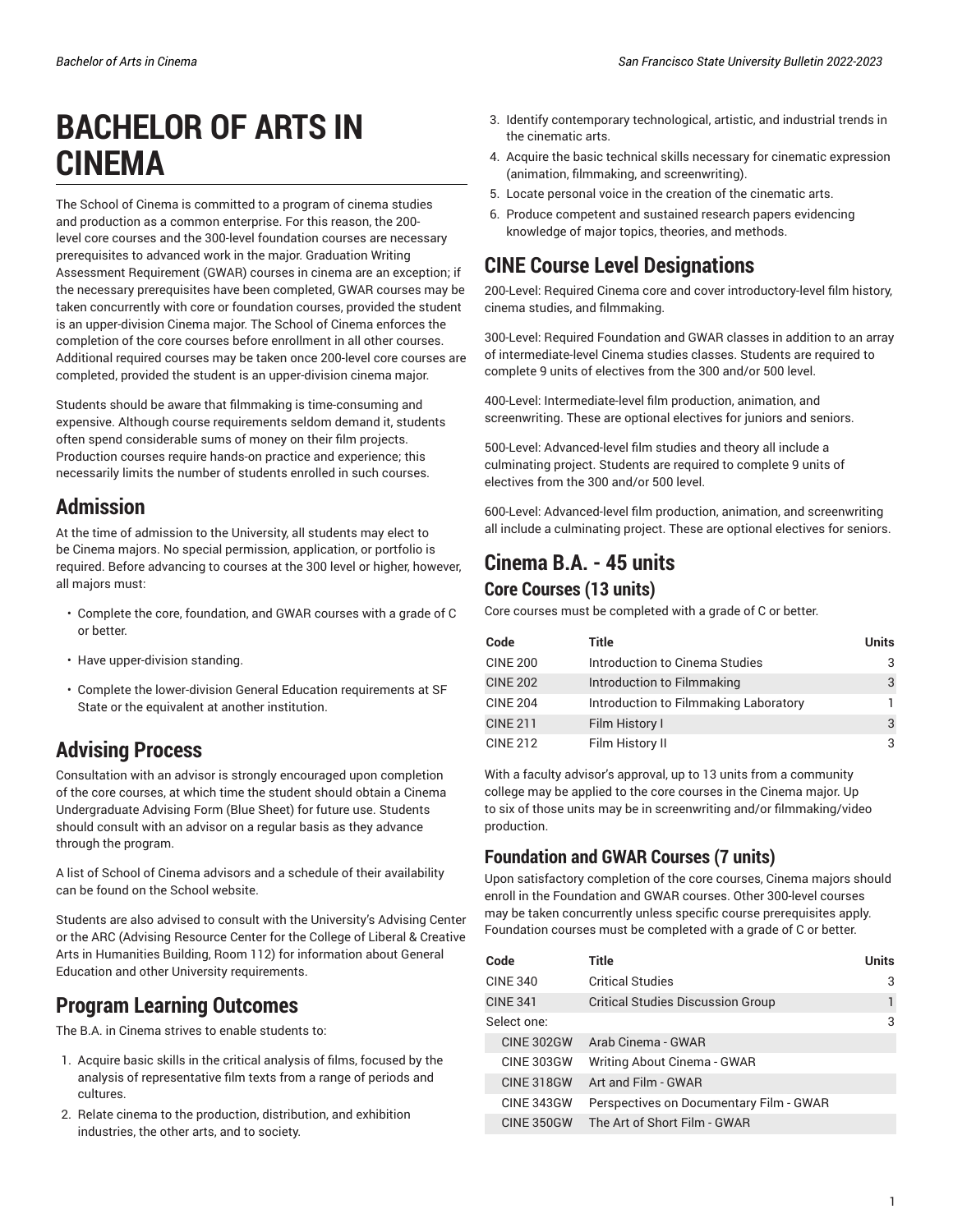# **BACHELOR OF ARTS IN CINEMA**

The School of Cinema is committed to a program of cinema studies and production as a common enterprise. For this reason, the 200 level core courses and the 300-level foundation courses are necessary prerequisites to advanced work in the major. Graduation Writing Assessment Requirement (GWAR) courses in cinema are an exception; if the necessary prerequisites have been completed, GWAR courses may be taken concurrently with core or foundation courses, provided the student is an upper-division Cinema major. The School of Cinema enforces the completion of the core courses before enrollment in all other courses. Additional required courses may be taken once 200-level core courses are completed, provided the student is an upper-division cinema major.

Students should be aware that filmmaking is time-consuming and expensive. Although course requirements seldom demand it, students often spend considerable sums of money on their film projects. Production courses require hands-on practice and experience; this necessarily limits the number of students enrolled in such courses.

### **Admission**

At the time of admission to the University, all students may elect to be Cinema majors. No special permission, application, or portfolio is required. Before advancing to courses at the 300 level or higher, however, all majors must:

- Complete the core, foundation, and GWAR courses with a grade of C or better.
- Have upper-division standing.
- Complete the lower-division General Education requirements at SF State or the equivalent at another institution.

# **Advising Process**

Consultation with an advisor is strongly encouraged upon completion of the core courses, at which time the student should obtain a Cinema Undergraduate Advising Form (Blue Sheet) for future use. Students should consult with an advisor on a regular basis as they advance through the program.

A list of School of Cinema advisors and a schedule of their availability can be found on the School website.

Students are also advised to consult with the University's Advising Center or the ARC (Advising Resource Center for the College of Liberal & Creative Arts in Humanities Building, Room 112) for information about General Education and other University requirements.

# **Program Learning Outcomes**

The B.A. in Cinema strives to enable students to:

- 1. Acquire basic skills in the critical analysis of films, focused by the analysis of representative film texts from a range of periods and cultures.
- 2. Relate cinema to the production, distribution, and exhibition industries, the other arts, and to society.
- 3. Identify contemporary technological, artistic, and industrial trends in the cinematic arts.
- 4. Acquire the basic technical skills necessary for cinematic expression (animation, filmmaking, and screenwriting).
- 5. Locate personal voice in the creation of the cinematic arts.
- 6. Produce competent and sustained research papers evidencing knowledge of major topics, theories, and methods.

# **CINE Course Level Designations**

200-Level: Required Cinema core and cover introductory-level film history, cinema studies, and filmmaking.

300-Level: Required Foundation and GWAR classes in addition to an array of intermediate-level Cinema studies classes. Students are required to complete 9 units of electives from the 300 and/or 500 level.

400-Level: Intermediate-level film production, animation, and screenwriting. These are optional electives for juniors and seniors.

500-Level: Advanced-level film studies and theory all include a culminating project. Students are required to complete 9 units of electives from the 300 and/or 500 level.

600-Level: Advanced-level film production, animation, and screenwriting all include a culminating project. These are optional electives for seniors.

# **Cinema B.A. - 45 units**

#### **Core Courses (13 units)**

Core courses must be completed with a grade of C or better.

| Code            | Title                                 | <b>Units</b> |
|-----------------|---------------------------------------|--------------|
| <b>CINE 200</b> | Introduction to Cinema Studies        | 3            |
| <b>CINE 202</b> | Introduction to Filmmaking            | 3            |
| <b>CINE 204</b> | Introduction to Filmmaking Laboratory |              |
| <b>CINE 211</b> | Film History I                        | 3            |
| <b>CINE 212</b> | Film History II                       | 3            |

With a faculty advisor's approval, up to 13 units from a community college may be applied to the core courses in the Cinema major. Up to six of those units may be in screenwriting and/or filmmaking/video production.

### **Foundation and GWAR Courses (7 units)**

Upon satisfactory completion of the core courses, Cinema majors should enroll in the Foundation and GWAR courses. Other 300-level courses may be taken concurrently unless specific course prerequisites apply. Foundation courses must be completed with a grade of C or better.

| Code              | Title                                    | <b>Units</b> |
|-------------------|------------------------------------------|--------------|
| <b>CINE 340</b>   | <b>Critical Studies</b>                  | 3            |
| <b>CINE 341</b>   | <b>Critical Studies Discussion Group</b> |              |
| Select one:       |                                          | 3            |
| <b>CINE 302GW</b> | Arab Cinema - GWAR                       |              |
| <b>CINE 303GW</b> | Writing About Cinema - GWAR              |              |
| <b>CINE 318GW</b> | Art and Film - GWAR                      |              |
| <b>CINE 343GW</b> | Perspectives on Documentary Film - GWAR  |              |
| CINE 350GW        | The Art of Short Film - GWAR             |              |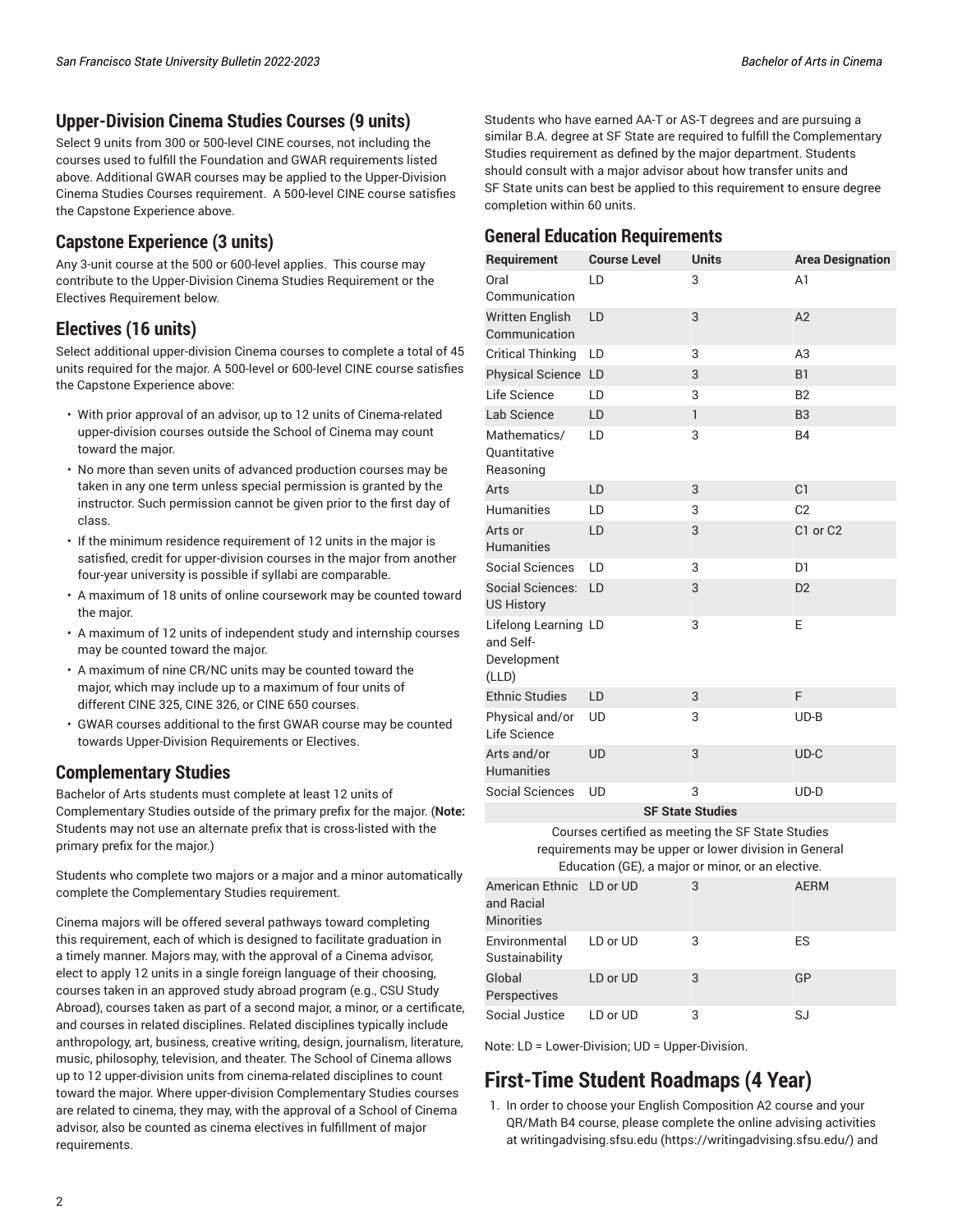#### **Upper-Division Cinema Studies Courses (9 units)**

Select 9 units from 300 or 500-level CINE courses, not including the courses used to fulfill the Foundation and GWAR requirements listed above. Additional GWAR courses may be applied to the Upper-Division Cinema Studies Courses requirement. A 500-level CINE course satisfies the Capstone Experience above.

#### **Capstone Experience (3 units)**

Any 3-unit course at the 500 or 600-level applies. This course may contribute to the Upper-Division Cinema Studies Requirement or the Electives Requirement below.

#### **Electives (16 units)**

Select additional upper-division Cinema courses to complete a total of 45 units required for the major. A 500-level or 600-level CINE course satisfies the Capstone Experience above:

- With prior approval of an advisor, up to 12 units of Cinema-related upper-division courses outside the School of Cinema may count toward the major.
- No more than seven units of advanced production courses may be taken in any one term unless special permission is granted by the instructor. Such permission cannot be given prior to the first day of class.
- If the minimum residence requirement of 12 units in the major is satisfied, credit for upper-division courses in the major from another four-year university is possible if syllabi are comparable.
- A maximum of 18 units of online coursework may be counted toward the major.
- A maximum of 12 units of independent study and internship courses may be counted toward the major.
- A maximum of nine CR/NC units may be counted toward the major, which may include up to a maximum of four units of different CINE 325, CINE 326, or CINE 650 courses.
- GWAR courses additional to the first GWAR course may be counted towards Upper-Division Requirements or Electives.

#### **Complementary Studies**

Bachelor of Arts students must complete at least 12 units of Complementary Studies outside of the primary prefix for the major. (**Note:** Students may not use an alternate prefix that is cross-listed with the primary prefix for the major.)

Students who complete two majors or a major and a minor automatically complete the Complementary Studies requirement.

Cinema majors will be offered several pathways toward completing this requirement, each of which is designed to facilitate graduation in a timely manner. Majors may, with the approval of a Cinema advisor, elect to apply 12 units in a single foreign language of their choosing, courses taken in an approved study abroad program (e.g., CSU Study Abroad), courses taken as part of a second major, a minor, or a certificate, and courses in related disciplines. Related disciplines typically include anthropology, art, business, creative writing, design, journalism, literature, music, philosophy, television, and theater. The School of Cinema allows up to 12 upper-division units from cinema-related disciplines to count toward the major. Where upper-division Complementary Studies courses are related to cinema, they may, with the approval of a School of Cinema advisor, also be counted as cinema electives in fulfillment of major requirements.

Students who have earned AA-T or AS-T degrees and are pursuing a similar B.A. degree at SF State are required to fulfill the Complementary Studies requirement as defined by the major department. Students should consult with a major advisor about how transfer units and SF State units can best be applied to this requirement to ensure degree completion within 60 units.

#### **General Education Requirements**

| Requirement              | <b>Course Level</b> | <b>Units</b>            | <b>Area Designation</b> |  |  |
|--------------------------|---------------------|-------------------------|-------------------------|--|--|
| Oral                     | LD                  | 3                       | A <sub>1</sub>          |  |  |
| Communication            |                     |                         |                         |  |  |
| <b>Written English</b>   | LD                  | 3                       | A2                      |  |  |
| Communication            |                     |                         |                         |  |  |
| <b>Critical Thinking</b> | LD                  | 3                       | A3                      |  |  |
| Physical Science LD      |                     | 3                       | B1                      |  |  |
| Life Science             | LD                  | 3                       | B <sub>2</sub>          |  |  |
| Lab Science              | LD                  | $\mathsf{I}$            | B <sub>3</sub>          |  |  |
| Mathematics/             | LD                  | 3                       | <b>B4</b>               |  |  |
| Quantitative             |                     |                         |                         |  |  |
| Reasoning                |                     |                         |                         |  |  |
| Arts                     | LD                  | 3                       | C <sub>1</sub>          |  |  |
| <b>Humanities</b>        | LD                  | 3                       | C <sub>2</sub>          |  |  |
| Arts or                  | LD                  | 3                       | C1 or C2                |  |  |
| <b>Humanities</b>        |                     |                         |                         |  |  |
| <b>Social Sciences</b>   | LD                  | 3                       | D <sub>1</sub>          |  |  |
| Social Sciences:         | LD                  | 3                       | D <sub>2</sub>          |  |  |
| <b>US History</b>        |                     |                         |                         |  |  |
| Lifelong Learning LD     |                     | 3                       | E                       |  |  |
| and Self-                |                     |                         |                         |  |  |
| Development              |                     |                         |                         |  |  |
| (LLD)                    |                     |                         |                         |  |  |
| <b>Ethnic Studies</b>    | LD                  | 3                       | F                       |  |  |
| Physical and/or          | <b>UD</b>           | 3                       | $UD-B$                  |  |  |
| Life Science             |                     |                         |                         |  |  |
| Arts and/or              | <b>UD</b>           | 3                       | $UD-C$                  |  |  |
| <b>Humanities</b>        |                     |                         |                         |  |  |
| <b>Social Sciences</b>   | <b>UD</b>           | 3                       | $UD-D$                  |  |  |
|                          |                     | <b>SF State Studies</b> |                         |  |  |

Courses certified as meeting the SF State Studies

requirements may be upper or lower division in General Education (GE), a major or minor, or an elective.

| Laucation (OL), a major or minor, or an crective. |                                                             |          |   |             |
|---------------------------------------------------|-------------------------------------------------------------|----------|---|-------------|
|                                                   | American Ethnic LD or UD<br>and Racial<br><b>Minorities</b> |          | 3 | <b>AERM</b> |
|                                                   | Environmental<br>Sustainability                             | LD or UD | 3 | ES          |
|                                                   | Global<br>Perspectives                                      | LD or UD | 3 | GP          |
|                                                   | Social Justice                                              | LD or UD | 3 | SJ          |

Note: LD = Lower-Division; UD = Upper-Division.

# **First-Time Student Roadmaps (4 Year)**

1. In order to choose your English Composition A2 course and your QR/Math B4 course, please complete the online advising activities at [writingadvising.sfsu.edu \(https://writingadvising.sfsu.edu/](https://writingadvising.sfsu.edu/)) and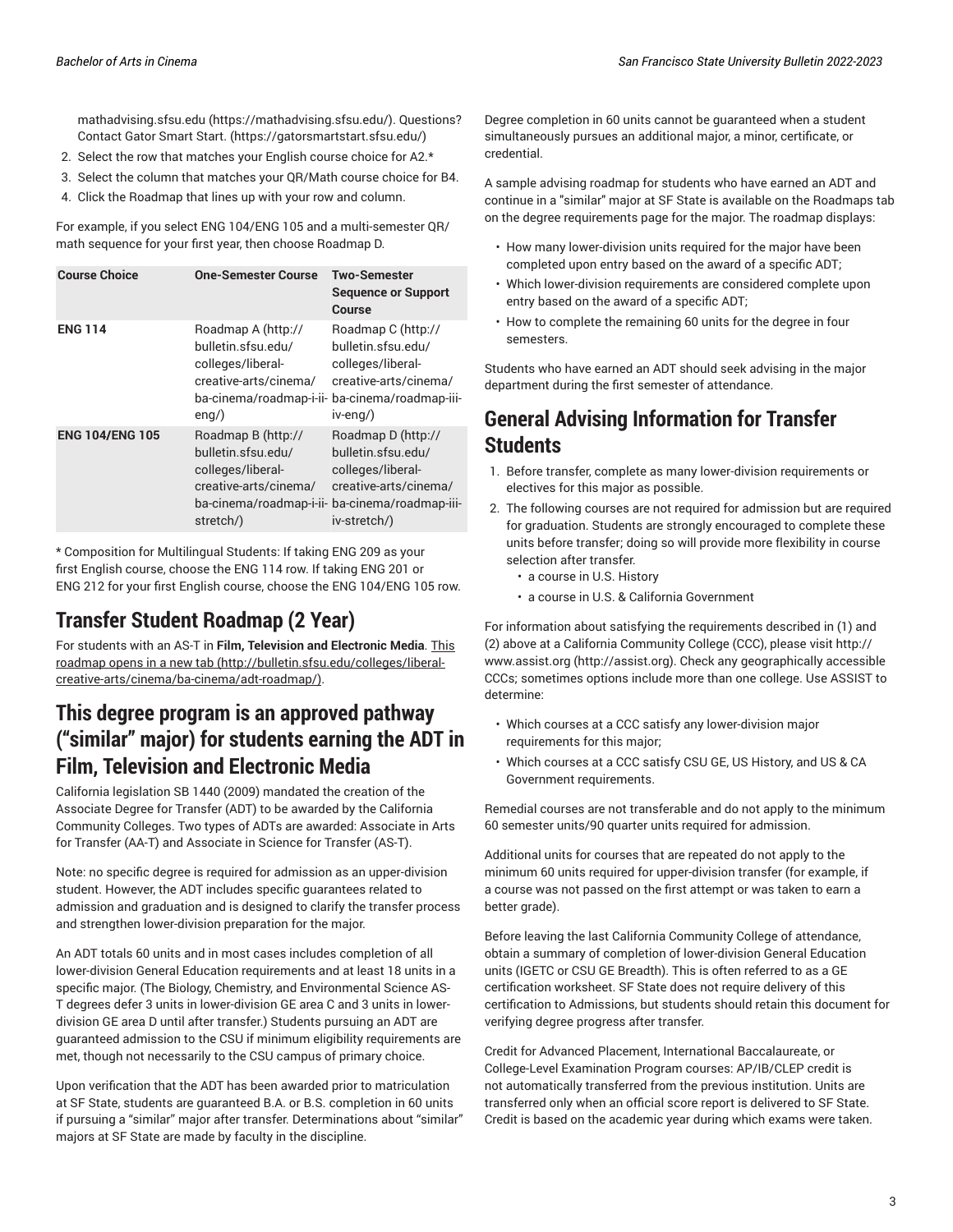[mathadvising.sfsu.edu](https://mathadvising.sfsu.edu/) ([https://mathadvising.sfsu.edu/\)](https://mathadvising.sfsu.edu/). Questions? Contact Gator [Smart](https://gatorsmartstart.sfsu.edu/) Start. ([https://gatorsmartstart.sfsu.edu/\)](https://gatorsmartstart.sfsu.edu/)

- 2. Select the row that matches your English course choice for A2.\*
- 3. Select the column that matches your QR/Math course choice for B4.
- 4. Click the Roadmap that lines up with your row and column.

For example, if you select ENG 104/ENG 105 and a multi-semester QR/ math sequence for your first year, then choose Roadmap D.

| <b>Course Choice</b>   | <b>One-Semester Course</b>                                                                                                                            | <b>Two-Semester</b><br><b>Sequence or Support</b><br>Course                                                                           |
|------------------------|-------------------------------------------------------------------------------------------------------------------------------------------------------|---------------------------------------------------------------------------------------------------------------------------------------|
| <b>ENG 114</b>         | Roadmap A (http://<br>bulletin.sfsu.edu/<br>colleges/liberal-<br>creative-arts/cinema/<br>ba-cinema/roadmap-i-ii-<br>$eng$ )                          | Roadmap C (http://<br>bulletin.sfsu.edu/<br>colleges/liberal-<br>creative-arts/cinema/<br>ba-cinema/roadmap-iii-<br>$iv$ -eng $\land$ |
| <b>ENG 104/ENG 105</b> | Roadmap B (http://<br>bulletin.sfsu.edu/<br>colleges/liberal-<br>creative-arts/cinema/<br>ba-cinema/roadmap-i-ii- ba-cinema/roadmap-iii-<br>stretch/) | Roadmap D (http://<br>bulletin.sfsu.edu/<br>colleges/liberal-<br>creative-arts/cinema/<br>iv-stretch/)                                |

\* Composition for Multilingual Students: If taking ENG 209 as your first English course, choose the ENG 114 row. If taking ENG 201 or ENG 212 for your first English course, choose the ENG 104/ENG 105 row.

# **Transfer Student Roadmap (2 Year)**

For students with an AS-T in **Film, Television and Electronic Media**. [This](http://bulletin.sfsu.edu/colleges/liberal-creative-arts/cinema/ba-cinema/adt-roadmap/) [roadmap](http://bulletin.sfsu.edu/colleges/liberal-creative-arts/cinema/ba-cinema/adt-roadmap/) opens in a new tab [\(http://bulletin.sfsu.edu/colleges/liberal](http://bulletin.sfsu.edu/colleges/liberal-creative-arts/cinema/ba-cinema/adt-roadmap/)[creative-arts/cinema/ba-cinema/adt-roadmap/\)](http://bulletin.sfsu.edu/colleges/liberal-creative-arts/cinema/ba-cinema/adt-roadmap/).

# **This degree program is an approved pathway ("similar" major) for students earning the ADT in Film, Television and Electronic Media**

California legislation SB 1440 (2009) mandated the creation of the Associate Degree for Transfer (ADT) to be awarded by the California Community Colleges. Two types of ADTs are awarded: Associate in Arts for Transfer (AA-T) and Associate in Science for Transfer (AS-T).

Note: no specific degree is required for admission as an upper-division student. However, the ADT includes specific guarantees related to admission and graduation and is designed to clarify the transfer process and strengthen lower-division preparation for the major.

An ADT totals 60 units and in most cases includes completion of all lower-division General Education requirements and at least 18 units in a specific major. (The Biology, Chemistry, and Environmental Science AS-T degrees defer 3 units in lower-division GE area C and 3 units in lowerdivision GE area D until after transfer.) Students pursuing an ADT are guaranteed admission to the CSU if minimum eligibility requirements are met, though not necessarily to the CSU campus of primary choice.

Upon verification that the ADT has been awarded prior to matriculation at SF State, students are guaranteed B.A. or B.S. completion in 60 units if pursuing a "similar" major after transfer. Determinations about "similar" majors at SF State are made by faculty in the discipline.

Degree completion in 60 units cannot be guaranteed when a student simultaneously pursues an additional major, a minor, certificate, or credential.

A sample advising roadmap for students who have earned an ADT and continue in a "similar" major at SF State is available on the Roadmaps tab on the degree requirements page for the major. The roadmap displays:

- How many lower-division units required for the major have been completed upon entry based on the award of a specific ADT;
- Which lower-division requirements are considered complete upon entry based on the award of a specific ADT;
- How to complete the remaining 60 units for the degree in four semesters.

Students who have earned an ADT should seek advising in the major department during the first semester of attendance.

# **General Advising Information for Transfer Students**

- 1. Before transfer, complete as many lower-division requirements or electives for this major as possible.
- 2. The following courses are not required for admission but are required for graduation. Students are strongly encouraged to complete these units before transfer; doing so will provide more flexibility in course selection after transfer.
	- a course in U.S. History
	- a course in U.S. & California Government

For information about satisfying the requirements described in (1) and (2) above at a California Community College (CCC), please visit [http://](http://assist.org) [www.assist.org \(http://assist.org](http://assist.org)). Check any geographically accessible CCCs; sometimes options include more than one college. Use ASSIST to determine:

- Which courses at a CCC satisfy any lower-division major requirements for this major;
- Which courses at a CCC satisfy CSU GE, US History, and US & CA Government requirements.

Remedial courses are not transferable and do not apply to the minimum 60 semester units/90 quarter units required for admission.

Additional units for courses that are repeated do not apply to the minimum 60 units required for upper-division transfer (for example, if a course was not passed on the first attempt or was taken to earn a better grade).

Before leaving the last California Community College of attendance, obtain a summary of completion of lower-division General Education units (IGETC or CSU GE Breadth). This is often referred to as a GE certification worksheet. SF State does not require delivery of this certification to Admissions, but students should retain this document for verifying degree progress after transfer.

Credit for Advanced Placement, International Baccalaureate, or College-Level Examination Program courses: AP/IB/CLEP credit is not automatically transferred from the previous institution. Units are transferred only when an official score report is delivered to SF State. Credit is based on the academic year during which exams were taken.